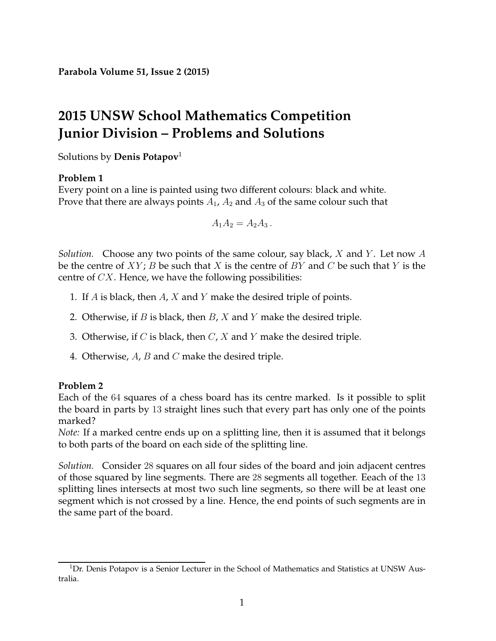# **2015 UNSW School Mathematics Competition Junior Division – Problems and Solutions**

Solutions by **Denis Potapov**[1](#page-0-0)

# **Problem 1**

Every point on a line is painted using two different colours: black and white. Prove that there are always points  $A_1$ ,  $A_2$  and  $A_3$  of the same colour such that

$$
A_1 A_2 = A_2 A_3.
$$

*Solution.* Choose any two points of the same colour, say black, X and Y . Let now A be the centre of  $XY$ ; B be such that X is the centre of BY and C be such that Y is the centre of  $CX$ . Hence, we have the following possibilities:

- 1. If  $A$  is black, then  $A$ ,  $X$  and  $Y$  make the desired triple of points.
- 2. Otherwise, if  $B$  is black, then  $B$ ,  $X$  and  $Y$  make the desired triple.
- 3. Otherwise, if  $C$  is black, then  $C$ ,  $X$  and  $Y$  make the desired triple.
- 4. Otherwise,  $A$ ,  $B$  and  $C$  make the desired triple.

# **Problem 2**

Each of the 64 squares of a chess board has its centre marked. Is it possible to split the board in parts by 13 straight lines such that every part has only one of the points marked?

*Note:* If a marked centre ends up on a splitting line, then it is assumed that it belongs to both parts of the board on each side of the splitting line.

*Solution.* Consider 28 squares on all four sides of the board and join adjacent centres of those squared by line segments. There are 28 segments all together. Eeach of the 13 splitting lines intersects at most two such line segments, so there will be at least one segment which is not crossed by a line. Hence, the end points of such segments are in the same part of the board.

<span id="page-0-0"></span><sup>&</sup>lt;sup>1</sup>Dr. Denis Potapov is a Senior Lecturer in the School of Mathematics and Statistics at UNSW Australia.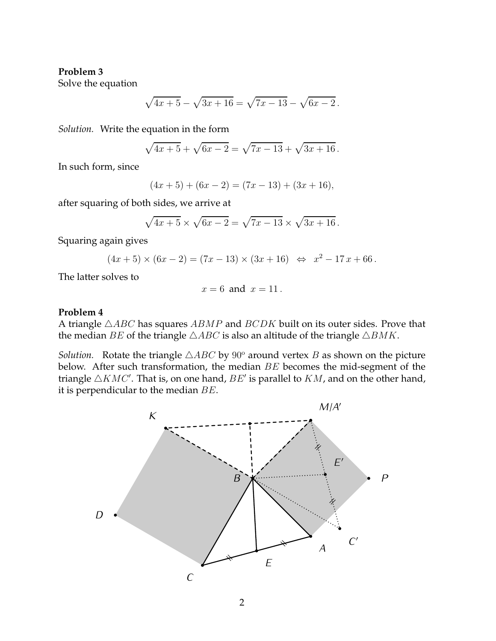Solve the equation

$$
\sqrt{4x+5} - \sqrt{3x+16} = \sqrt{7x-13} - \sqrt{6x-2}.
$$

*Solution.* Write the equation in the form

$$
\sqrt{4x+5} + \sqrt{6x-2} = \sqrt{7x-13} + \sqrt{3x+16}.
$$

In such form, since

$$
(4x + 5) + (6x - 2) = (7x - 13) + (3x + 16),
$$

after squaring of both sides, we arrive at

$$
\sqrt{4x+5} \times \sqrt{6x-2} = \sqrt{7x-13} \times \sqrt{3x+16}
$$
.

Squaring again gives

$$
(4x + 5) \times (6x - 2) = (7x - 13) \times (3x + 16) \iff x^2 - 17x + 66.
$$

The latter solves to

$$
x=6 \text{ and } x=11.
$$

#### **Problem 4**

A triangle  $\triangle ABC$  has squares  $ABMP$  and  $BCDK$  built on its outer sides. Prove that the median BE of the triangle  $\triangle ABC$  is also an altitude of the triangle  $\triangle BMK$ .

*Solution.* Rotate the triangle  $\triangle ABC$  by 90° around vertex B as shown on the picture below. After such transformation, the median BE becomes the mid-segment of the triangle  $\triangle KMC'$ . That is, on one hand,  $BE'$  is parallel to  $KM$ , and on the other hand, it is perpendicular to the median  $BE$ .

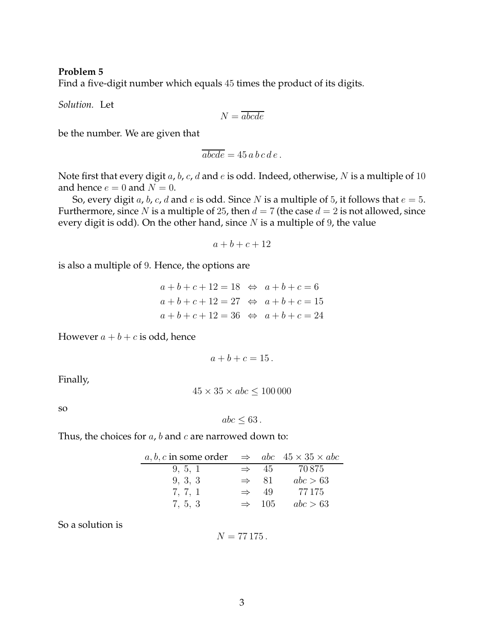Find a five-digit number which equals 45 times the product of its digits.

*Solution.* Let

$$
N=\overline{abcde}
$$

be the number. We are given that

$$
\overline{abcde} = 45 \, a \, b \, c \, d \, e \, .
$$

Note first that every digit  $a$ ,  $b$ ,  $c$ ,  $d$  and  $e$  is odd. Indeed, otherwise,  $N$  is a multiple of 10 and hence  $e = 0$  and  $N = 0$ .

So, every digit *a*, *b*, *c*, *d* and *e* is odd. Since *N* is a multiple of 5, it follows that  $e = 5$ . Furthermore, since N is a multiple of 25, then  $d = 7$  (the case  $d = 2$  is not allowed, since every digit is odd). On the other hand, since  $N$  is a multiple of 9, the value

$$
a+b+c+12
$$

is also a multiple of 9. Hence, the options are

| $a+b+c+12=18 \Leftrightarrow a+b+c=6$      |
|--------------------------------------------|
| $a+b+c+12=27 \Leftrightarrow a+b+c=15$     |
| $a+b+c+12 = 36 \Leftrightarrow a+b+c = 24$ |
|                                            |

However  $a + b + c$  is odd, hence

$$
a+b+c=15.
$$

Finally,

$$
45 \times 35 \times abc \le 100\,000
$$

so

$$
abc \leq 63.
$$

Thus, the choices for  $a$ ,  $b$  and  $c$  are narrowed down to:

| a, b, c in some order $\Rightarrow$ abc $45 \times 35 \times abc$ |               |                    |          |
|-------------------------------------------------------------------|---------------|--------------------|----------|
| 9, 5, 1                                                           |               | $\Rightarrow$ 45   | 70.875   |
| 9, 3, 3                                                           |               | $\Rightarrow$ 81   | abc > 63 |
| 7, 7, 1                                                           | $\Rightarrow$ | -49                | 77 175   |
| 7, 5, 3                                                           |               | $\Rightarrow$ 10.5 | abc > 63 |

So a solution is

$$
N=77\,175\,.
$$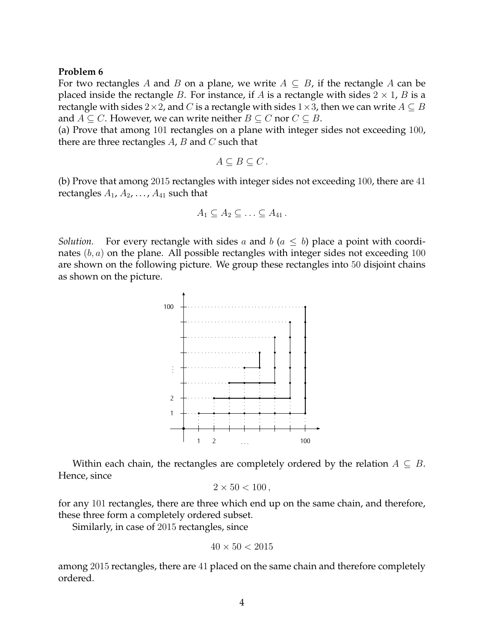For two rectangles A and B on a plane, we write  $A \subseteq B$ , if the rectangle A can be placed inside the rectangle B. For instance, if A is a rectangle with sides  $2 \times 1$ , B is a rectangle with sides 2×2, and C is a rectangle with sides 1×3, then we can write  $A \subseteq B$ and  $A \subseteq C$ . However, we can write neither  $B \subseteq C$  nor  $C \subseteq B$ .

(a) Prove that among 101 rectangles on a plane with integer sides not exceeding 100, there are three rectangles  $A$ ,  $B$  and  $C$  such that

$$
A\subseteq B\subseteq C\,.
$$

(b) Prove that among 2015 rectangles with integer sides not exceeding 100, there are 41 rectangles  $A_1, A_2, \ldots, A_{41}$  such that

$$
A_1 \subseteq A_2 \subseteq \ldots \subseteq A_{41} \, .
$$

*Solution.* For every rectangle with sides a and  $b$  ( $a \leq b$ ) place a point with coordinates  $(b, a)$  on the plane. All possible rectangles with integer sides not exceeding 100 are shown on the following picture. We group these rectangles into 50 disjoint chains as shown on the picture.



Within each chain, the rectangles are completely ordered by the relation  $A \subseteq B$ . Hence, since

$$
2\times 50<100\,
$$

for any 101 rectangles, there are three which end up on the same chain, and therefore, these three form a completely ordered subset.

Similarly, in case of 2015 rectangles, since

$$
40 \times 50 < 2015
$$

among 2015 rectangles, there are 41 placed on the same chain and therefore completely ordered.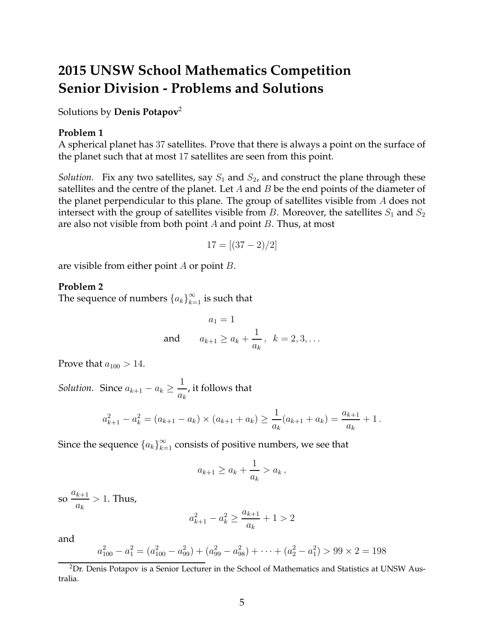# **2015 UNSW School Mathematics Competition Senior Division - Problems and Solutions**

Solutions by **Denis Potapov**[2](#page-4-0)

#### **Problem 1**

A spherical planet has 37 satellites. Prove that there is always a point on the surface of the planet such that at most 17 satellites are seen from this point.

*Solution.* Fix any two satellites, say  $S_1$  and  $S_2$ , and construct the plane through these satellites and the centre of the planet. Let  $A$  and  $B$  be the end points of the diameter of the planet perpendicular to this plane. The group of satellites visible from A does not intersect with the group of satellites visible from  $B$ . Moreover, the satellites  $S_1$  and  $S_2$ are also not visible from both point  $A$  and point  $B$ . Thus, at most

$$
17 = [(37 - 2)/2]
$$

are visible from either point  $A$  or point  $B$ .

### **Problem 2**

The sequence of numbers  $\left\{a_k\right\}_{k=1}^\infty$  is such that

$$
a_1 = 1
$$
  
and  $a_{k+1} \ge a_k + \frac{1}{a_k}$ ,  $k = 2, 3, ...$ 

Prove that  $a_{100} > 14$ .

*Solution.* Since  $a_{k+1} - a_k \geq \frac{1}{a_k}$  $\frac{1}{a_k}$ , it follows that

$$
a_{k+1}^2 - a_k^2 = (a_{k+1} - a_k) \times (a_{k+1} + a_k) \ge \frac{1}{a_k}(a_{k+1} + a_k) = \frac{a_{k+1}}{a_k} + 1.
$$

Since the sequence  $\left\{a_k\right\}_{k=1}^\infty$  consists of positive numbers, we see that

$$
a_{k+1} \ge a_k + \frac{1}{a_k} > a_k \,,
$$

so  $a_{k+1}$  $\frac{k+1}{a_k} > 1$ . Thus,

$$
a_{k+1}^2 - a_k^2 \ge \frac{a_{k+1}}{a_k} + 1 > 2
$$

and

$$
a_{100}^2 - a_1^2 = (a_{100}^2 - a_{99}^2) + (a_{99}^2 - a_{98}^2) + \dots + (a_2^2 - a_1^2) > 99 \times 2 = 198
$$

<span id="page-4-0"></span><sup>&</sup>lt;sup>2</sup>Dr. Denis Potapov is a Senior Lecturer in the School of Mathematics and Statistics at UNSW Australia.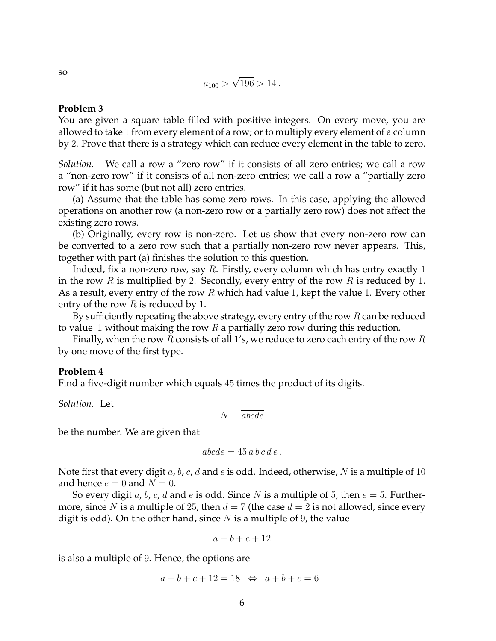$$
a_{100} > \sqrt{196} > 14.
$$

You are given a square table filled with positive integers. On every move, you are allowed to take 1 from every element of a row; or to multiply every element of a column by 2. Prove that there is a strategy which can reduce every element in the table to zero.

*Solution.* We call a row a "zero row" if it consists of all zero entries; we call a row a "non-zero row" if it consists of all non-zero entries; we call a row a "partially zero row" if it has some (but not all) zero entries.

(a) Assume that the table has some zero rows. In this case, applying the allowed operations on another row (a non-zero row or a partially zero row) does not affect the existing zero rows.

(b) Originally, every row is non-zero. Let us show that every non-zero row can be converted to a zero row such that a partially non-zero row never appears. This, together with part (a) finishes the solution to this question.

Indeed, fix a non-zero row, say R. Firstly, every column which has entry exactly 1 in the row R is multiplied by 2. Secondly, every entry of the row R is reduced by 1. As a result, every entry of the row  $R$  which had value 1, kept the value 1. Every other entry of the row  $R$  is reduced by 1.

By sufficiently repeating the above strategy, every entry of the row  $R$  can be reduced to value 1 without making the row  $R$  a partially zero row during this reduction.

Finally, when the row R consists of all 1's, we reduce to zero each entry of the row R by one move of the first type.

#### **Problem 4**

Find a five-digit number which equals 45 times the product of its digits.

*Solution.* Let

$$
N=\overline{abcde}
$$

be the number. We are given that

$$
\overline{abcde} = 45 \, a \, b \, c \, d \, e \, .
$$

Note first that every digit a, b, c, d and e is odd. Indeed, otherwise, N is a multiple of 10 and hence  $e = 0$  and  $N = 0$ .

So every digit a, b, c, d and e is odd. Since N is a multiple of 5, then  $e = 5$ . Furthermore, since N is a multiple of 25, then  $d = 7$  (the case  $d = 2$  is not allowed, since every digit is odd). On the other hand, since  $N$  is a multiple of 9, the value

$$
a+b+c+12
$$

is also a multiple of 9. Hence, the options are

$$
a+b+c+12=18 \Leftrightarrow a+b+c=6
$$

so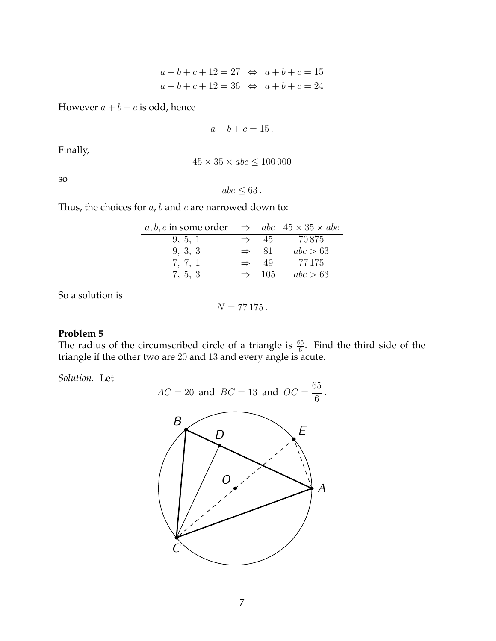$$
a + b + c + 12 = 27 \Leftrightarrow a + b + c = 15
$$
  
 $a + b + c + 12 = 36 \Leftrightarrow a + b + c = 24$ 

However  $a + b + c$  is odd, hence

$$
a+b+c=15.
$$

Finally,

$$
45 \times 35 \times abc \le 100\,000
$$

so

$$
abc \leq 63.
$$

Thus, the choices for  $a$ ,  $b$  and  $c$  are narrowed down to:

| a, b, c in some order $\Rightarrow$ abc $45 \times 35 \times abc$ |                   |          |
|-------------------------------------------------------------------|-------------------|----------|
| 9, 5, 1                                                           | $\Rightarrow$ 45  | 70.875   |
| 9, 3, 3                                                           | $\Rightarrow$ 81  | abc > 63 |
| 7, 7, 1                                                           | $\Rightarrow$ 49  | 77 175   |
| 7, 5, 3                                                           | $\Rightarrow$ 105 | abc > 63 |
|                                                                   |                   |          |

So a solution is

$$
N=77\,175\,.
$$

## **Problem 5**

The radius of the circumscribed circle of a triangle is  $\frac{65}{6}$ . Find the third side of the triangle if the other two are 20 and 13 and every angle is acute.

*Solution.* Let

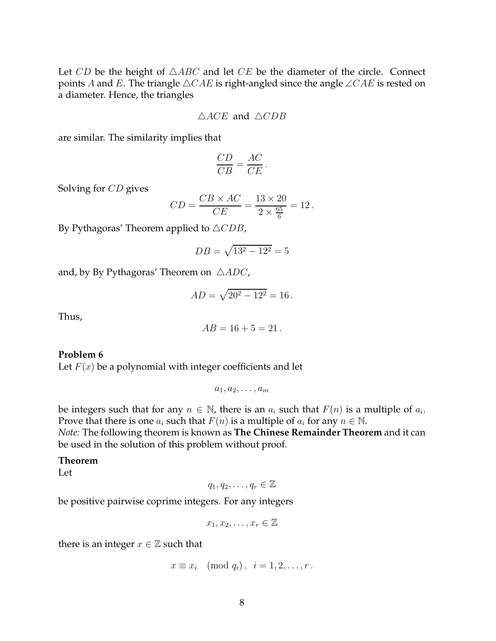Let CD be the height of  $\triangle ABC$  and let CE be the diameter of the circle. Connect points A and E. The triangle  $\triangle CAE$  is right-angled since the angle  $\angle CAE$  is rested on a diameter. Hence, the triangles

$$
\triangle ACE \text{ and } \triangle CDB
$$

are similar. The similarity implies that

$$
\frac{CD}{CB} = \frac{AC}{CE}.
$$

Solving for CD gives

$$
CD = \frac{CB \times AC}{CE} = \frac{13 \times 20}{2 \times \frac{65}{6}} = 12.
$$

By Pythagoras' Theorem applied to  $\triangle CDB$ ,

$$
DB = \sqrt{13^2 - 12^2} = 5
$$

and, by By Pythagoras' Theorem on  $\triangle ADC$ ,

$$
AD = \sqrt{20^2 - 12^2} = 16.
$$

Thus,

$$
AB = 16 + 5 = 21.
$$

#### **Problem 6**

Let  $F(x)$  be a polynomial with integer coefficients and let

 $a_1, a_2, \ldots, a_m$ 

be integers such that for any  $n \in \mathbb{N}$ , there is an  $a_i$  such that  $F(n)$  is a multiple of  $a_i$ . Prove that there is one  $a_i$  such that  $F(n)$  is a multiple of  $a_i$  for any  $n \in \mathbb{N}$ . *Note:* The following theorem is known as **The Chinese Remainder Theorem** and it can

be used in the solution of this problem without proof.

## **Theorem**

Let

 $q_1, q_2, \ldots, q_r \in \mathbb{Z}$ 

be positive pairwise coprime integers. For any integers

$$
x_1, x_2, \ldots, x_r \in \mathbb{Z}
$$

there is an integer  $x \in \mathbb{Z}$  such that

$$
x \equiv x_i \pmod{q_i}, \ \ i = 1, 2, \dots, r.
$$